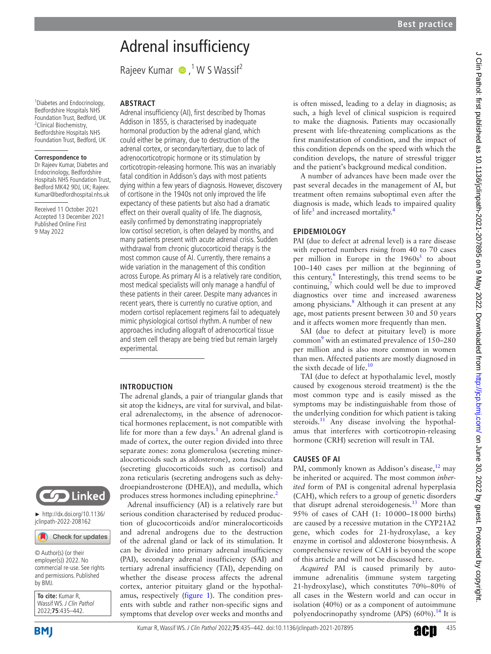# Adrenal insufficiency

RajeevKumar  $\bullet$ ,<sup>1</sup> W S Wassif<sup>2</sup>

1 Diabetes and Endocrinology, Bedfordshire Hospitals NHS Foundation Trust, Bedford, UK <sup>2</sup>Clinical Biochemistry, Bedfordshire Hospitals NHS Foundation Trust, Bedford, UK

#### **Correspondence to**

Dr Rajeev Kumar, Diabetes and Endocrinology, Bedfordshire Hospitals NHS Foundation Trust, Bedford MK42 9DJ, UK; Rajeev. Kumar@bedfordhospital.nhs.uk

Received 11 October 2021 Accepted 13 December 2021 Published Online First 9 May 2022

# **ABSTRACT**

Adrenal insufficiency (AI), first described by Thomas Addison in 1855, is characterised by inadequate hormonal production by the adrenal gland, which could either be primary, due to destruction of the adrenal cortex, or secondary/tertiary, due to lack of adrenocorticotropic hormone or its stimulation by corticotropin-releasing hormone. This was an invariably fatal condition in Addison's days with most patients dying within a few years of diagnosis. However, discovery of cortisone in the 1940s not only improved the life expectancy of these patients but also had a dramatic effect on their overall quality of life. The diagnosis, easily confirmed by demonstrating inappropriately low cortisol secretion, is often delayed by months, and many patients present with acute adrenal crisis. Sudden withdrawal from chronic glucocorticoid therapy is the most common cause of AI. Currently, there remains a wide variation in the management of this condition across Europe. As primary AI is a relatively rare condition, most medical specialists will only manage a handful of these patients in their career. Despite many advances in recent years, there is currently no curative option, and modern cortisol replacement regimens fail to adequately mimic physiological cortisol rhythm. A number of new approaches including allograft of adrenocortical tissue and stem cell therapy are being tried but remain largely experimental.

# **INTRODUCTION**

The adrenal glands, a pair of triangular glands that sit atop the kidneys, are vital for survival, and bilateral adrenalectomy, in the absence of adrenocortical hormones replacement, is not compatible with life for more than a few days.<sup>[1](#page-5-0)</sup> An adrenal gland is made of cortex, the outer region divided into three separate zones: zona glomerulosa (secreting mineralocorticoids such as aldosterone), zona fasciculata (secreting glucocorticoids such as cortisol) and zona reticularis (secreting androgens such as dehydroepiandrosterone (DHEA)), and medulla, which produces stress hormones including epinephrine.<sup>[2](#page-5-1)</sup>

Adrenal insufficiency (AI) is a relatively rare but serious condition characterised by reduced production of glucocorticoids and/or mineralocorticoids and adrenal androgens due to the destruction of the adrenal gland or lack of its stimulation. It can be divided into primary adrenal insufficiency (PAI), secondary adrenal insufficiency (SAI) and tertiary adrenal insufficiency (TAI), depending on whether the disease process affects the adrenal cortex, anterior pituitary gland or the hypothalamus, respectively ([figure](#page-1-0) 1). The condition presents with subtle and rather non-specific signs and symptoms that develop over weeks and months and

is often missed, leading to a delay in diagnosis; as such, a high level of clinical suspicion is required to make the diagnosis. Patients may occasionally present with life-threatening complications as the first manifestation of condition, and the impact of this condition depends on the speed with which the condition develops, the nature of stressful trigger and the patient's background medical condition.

A number of advances have been made over the past several decades in the management of AI, but treatment often remains suboptimal even after the diagnosis is made, which leads to impaired quality of life<sup>3</sup> and increased mortality.<sup>4</sup>

# **EPIDEMIOLOGY**

PAI (due to defect at adrenal level) is a rare disease with reported numbers rising from 40 to 70 cases per million in Europe in the  $1960s<sup>5</sup>$  $1960s<sup>5</sup>$  $1960s<sup>5</sup>$  to about 100–140 cases per million at the beginning of this century.<sup>[6](#page-6-1)</sup> Interestingly, this trend seems to be continuing,<sup>[7](#page-6-2)</sup> which could well be due to improved diagnostics over time and increased awareness among physicians.<sup>[8](#page-6-3)</sup> Although it can present at any age, most patients present between 30 and 50 years and it affects women more frequently than men.

SAI (due to defect at pituitary level) is more common<sup>[9](#page-6-4)</sup> with an estimated prevalence of 150-280 per million and is also more common in women than men. Affected patients are mostly diagnosed in the sixth decade of life.<sup>[10](#page-6-5)</sup>

TAI (due to defect at hypothalamic level, mostly caused by exogenous steroid treatment) is the the most common type and is easily missed as the symptoms may be indistinguishable from those of the underlying condition for which patient is taking steroids.<sup>11</sup> Any disease involving the hypothalamus that interferes with corticotropin-releasing hormone (CRH) secretion will result in TAI.

# **CAUSES OF AI**

PAI, commonly known as Addison's disease, $12$  may be inherited or acquired. The most common *inherited* form of PAI is congenital adrenal hyperplasia (CAH), which refers to a group of genetic disorders that disrupt adrenal steroidogenesis.<sup>[13](#page-6-8)</sup> More than 95% of cases of CAH (1: 10000–18000 births) are caused by a recessive mutation in the CYP21A2 gene, which codes for 21-hydroxylase, a key enzyme in cortisol and aldosterone biosynthesis. A comprehensive review of CAH is beyond the scope of this article and will not be discussed here.

*Acquired* PAI is caused primarily by autoimmune adrenalitis (immune system targeting 21-hydroxylase), which constitutes 70%–80% of all cases in the Western world and can occur in isolation (40%) or as a component of autoimmune polyendocrinopathy syndrome (APS)  $(60\%)$ .<sup>[14](#page-6-9)</sup> It is



► [http://dx.doi.org/10.1136/](http://dx.doi.org/10.1136/jclinpath-2022-208162) [jclinpath-2022-208162](http://dx.doi.org/10.1136/jclinpath-2022-208162)

Check for updates

© Author(s) (or their employer(s)) 2022. No commercial re-use. See rights and permissions. Published by BMJ.

**To cite:** Kumar R, Wassif WS. J Clin Pathol 2022;**75**:435–442.

**BMI** 

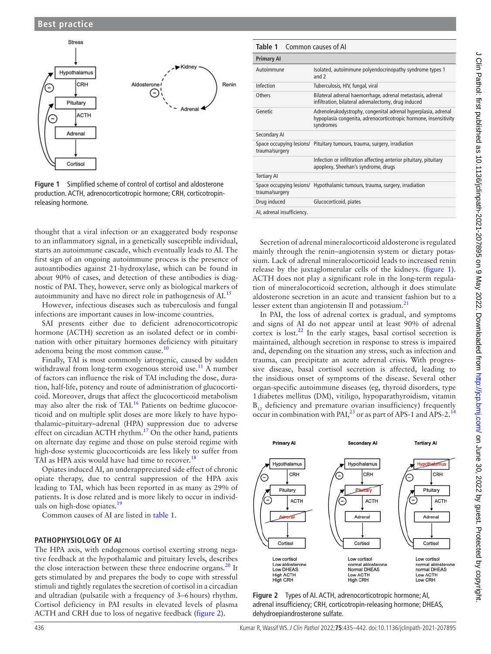

<span id="page-1-0"></span>**Figure 1** Simplified scheme of control of cortisol and aldosterone production. ACTH, adrenocorticotropic hormone; CRH, corticotropinreleasing hormone.

thought that a viral infection or an exaggerated body response to an inflammatory signal, in a genetically susceptible individual, starts an autoimmune cascade, which eventually leads to AI. The first sign of an ongoing autoimmune process is the presence of autoantibodies against 21-hydroxylase, which can be found in about 90% of cases, and detection of these antibodies is diagnostic of PAI. They, however, serve only as biological markers of autoimmunity and have no direct role in pathogenesis of AI.<sup>15</sup>

However, infectious diseases such as tuberculosis and fungal infections are important causes in low-income countries.

SAI presents either due to deficient adrenocorticotropic hormone (ACTH) secretion as an isolated defect or in combination with other pituitary hormones deficiency with pituitary adenoma being the most common cause. $10$ 

Finally, TAI is most commonly iatrogenic, caused by sudden withdrawal from long-term exogenous steroid use.<sup>11</sup> A number of factors can influence the risk of TAI including the dose, duration, half-life, potency and route of administration of glucocorticoid. Moreover, drugs that affect the glucocorticoid metabolism may also alter the risk of TAI.<sup>[16](#page-6-11)</sup> Patients on bedtime glucocorticoid and on multiple split doses are more likely to have hypothalamic–pituitary–adrenal (HPA) suppression due to adverse effect on circadian ACTH rhythm.<sup>[17](#page-6-12)</sup> On the other hand, patients on alternate day regime and those on pulse steroid regime with high-dose systemic glucocorticoids are less likely to suffer from TAI as HPA axis would have had time to recover.<sup>[18](#page-6-13)</sup>

Opiates induced AI, an underappreciated side effect of chronic opiate therapy, due to central suppression of the HPA axis leading to TAI, which has been reported in as many as 29% of patients. It is dose related and is more likely to occur in individ-uals on high-dose opiates.<sup>[19](#page-6-14)</sup>

Common causes of AI are listed in [table](#page-1-1) 1.

# **PATHOPHYSIOLOGY OF AI**

The HPA axis, with endogenous cortisol exerting strong negative feedback at the hypothalamic and pituitary levels, describes the close interaction between these three endocrine organs. $20$  It gets stimulated by and prepares the body to cope with stressful stimuli and tightly regulates the secretion of cortisol in a circadian and ultradian (pulsatile with a frequency of 3–6hours) rhythm. Cortisol deficiency in PAI results in elevated levels of plasma ACTH and CRH due to loss of negative feedback [\(figure](#page-1-2) 2).

<span id="page-1-1"></span>

| Common causes of Al<br>Table 1 |                                                                                                                                                |  |  |
|--------------------------------|------------------------------------------------------------------------------------------------------------------------------------------------|--|--|
| <b>Primary AI</b>              |                                                                                                                                                |  |  |
| Autoimmune                     | Isolated, autoimmune polyendocrinopathy syndrome types 1<br>and $2$                                                                            |  |  |
| Infection                      | Tuberculosis, HIV, fungal, viral                                                                                                               |  |  |
| Others                         | Bilateral adrenal haemorrhage, adrenal metastasis, adrenal<br>infiltration, bilateral adrenalectomy, drug induced                              |  |  |
| Genetic                        | Adrenoleukodystrophy, congenital adrenal hyperplasia, adrenal<br>hypoplasia congenita, adrenocorticotropic hormone, insensitivity<br>syndromes |  |  |
| Secondary Al                   |                                                                                                                                                |  |  |
| trauma/surgery                 | Space occupying lesions/ Pituitary tumours, trauma, surgery, irradiation                                                                       |  |  |
|                                | Infection or infiltration affecting anterior pituitary, pituitary<br>apoplexy, Sheehan's syndrome, drugs                                       |  |  |
| <b>Tertiary AI</b>             |                                                                                                                                                |  |  |
| trauma/surgery                 | Space occupying lesions/ Hypothalamic tumours, trauma, surgery, irradiation                                                                    |  |  |
| Drug induced                   | Glucocorticoid, piates                                                                                                                         |  |  |
| AI, adrenal insufficiency.     |                                                                                                                                                |  |  |

Secretion of adrenal mineralocorticoid aldosterone is regulated mainly through the renin–angiotensin system or dietary potassium. Lack of adrenal mineralocorticoid leads to increased renin release by the juxtaglomerular cells of the kidneys. ([figure](#page-1-0) 1). ACTH does not play a significant role in the long-term regulation of mineralocorticoid secretion, although it does stimulate aldosterone secretion in an acute and transient fashion but to a lesser extent than angiotensin II and potassium. $^{21}$  $^{21}$  $^{21}$ 

In PAI, the loss of adrenal cortex is gradual, and symptoms and signs of AI do not appear until at least 90% of adrenal cortex is lost. $^{22}$  $^{22}$  $^{22}$  In the early stages, basal cortisol secretion is maintained, although secretion in response to stress is impaired and, depending on the situation any stress, such as infection and trauma, can precipitate an acute adrenal crisis. With progressive disease, basal cortisol secretion is affected, leading to the insidious onset of symptoms of the disease. Several other organ-specific autoimmune diseases (eg, thyroid disorders, type 1diabetes mellitus (DM), vitiligo, hypoparathyroidism, vitamin  $B_{12}$  deficiency and premature ovarian insufficiency) frequently  $D_{12}^{12}$  denoting that promatter of  $\mu$  matrices of APS-1 and APS-2.<sup>1</sup>



<span id="page-1-2"></span>**Figure 2** Types of AI. ACTH, adrenocorticotropic hormone; AI, adrenal insufficiency; CRH, corticotropin-releasing hormone; DHEAS, dehydroepiandrosterone sulfate.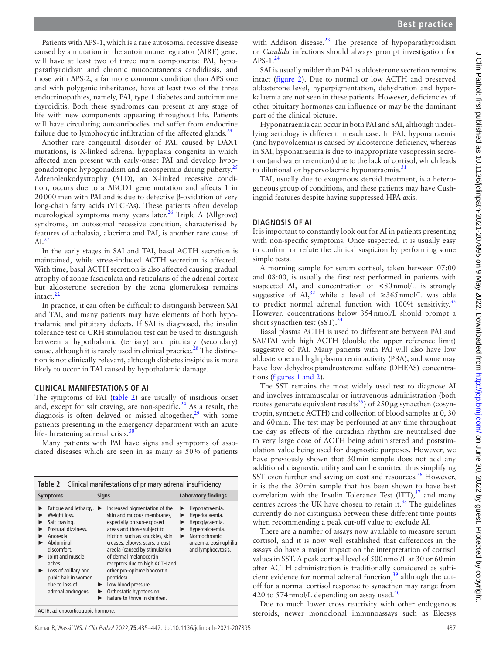Patients with APS-1, which is a rare autosomal recessive disease caused by a mutation in the autoimmune regulator (AIRE) gene, will have at least two of three main components: PAI, hypoparathyroidism and chronic mucocutaneous candidiasis, and those with APS-2, a far more common condition than APS one and with polygenic inheritance, have at least two of the three endocrinopathies, namely, PAI, type 1 diabetes and autoimmune thyroiditis. Both these syndromes can present at any stage of life with new components appearing throughout life. Patients will have circulating autoantibodies and suffer from endocrine failure due to lymphocytic infiltration of the affected glands. $^{24}$ 

Another rare congenital disorder of PAI, caused by DAX1 mutations, is X-linked adrenal hypoplasia congenita in which affected men present with early-onset PAI and develop hypogonadotropic hypogonadism and azoospermia during puberty.<sup>2</sup> Adrenoleukodystrophy (ALD), an X-linked recessive condition, occurs due to a ABCD1 gene mutation and affects 1 in 20000 men with PAI and is due to defective β-oxidation of very long-chain fatty acids (VLCFAs). These patients often develop neurological symptoms many years later.<sup>[26](#page-6-21)</sup> Triple A (Allgrove) syndrome, an autosomal recessive condition, characterised by features of achalasia, alacrima and PAI, is another rare cause of  $AI.<sup>27</sup>$  $AI.<sup>27</sup>$  $AI.<sup>27</sup>$ 

In the early stages in SAI and TAI, basal ACTH secretion is maintained, while stress-induced ACTH secretion is affected. With time, basal ACTH secretion is also affected causing gradual atrophy of zonae fasciculata and reticularis of the adrenal cortex but aldosterone secretion by the zona glomerulosa remains intact.<sup>22</sup>

In practice, it can often be difficult to distinguish between SAI and TAI, and many patients may have elements of both hypothalamic and pituitary defects. If SAI is diagnosed, the insulin tolerance test or CRH stimulation test can be used to distinguish between a hypothalamic (tertiary) and pituitary (secondary) cause, although it is rarely used in clinical practice.<sup>28</sup> The distinction is not clinically relevant, although diabetes insipidus is more likely to occur in TAI caused by hypothalamic damage.

# **CLINICAL MANIFESTATIONS OF AI**

The symptoms of PAI ([table](#page-2-0) 2) are usually of insidious onset and, except for salt craving, are non-specific.<sup>24</sup> As a result, the diagnosis is often delayed or missed altogether, $29$  with some patients presenting in the emergency department with an acute life-threatening adrenal crisis. $30$ 

Many patients with PAI have signs and symptoms of associated diseases which are seen in as many as 50% of patients

<span id="page-2-0"></span>

| Clinical manifestations of primary adrenal insufficiency<br>Table 2                                                                                                                                                                         |                                                                                                                                                                                                                                                                                                                                                                                                                                      |                                                                                                                                           |  |
|---------------------------------------------------------------------------------------------------------------------------------------------------------------------------------------------------------------------------------------------|--------------------------------------------------------------------------------------------------------------------------------------------------------------------------------------------------------------------------------------------------------------------------------------------------------------------------------------------------------------------------------------------------------------------------------------|-------------------------------------------------------------------------------------------------------------------------------------------|--|
| <b>Symptoms</b>                                                                                                                                                                                                                             | <b>Signs</b>                                                                                                                                                                                                                                                                                                                                                                                                                         | <b>Laboratory findings</b>                                                                                                                |  |
| Fatigue and lethargy.<br>Weight loss.<br>Salt craving.<br>Postural dizziness.<br>Anorexia.<br>Abdominal<br>discomfort.<br>Joint and muscle<br>aches.<br>Loss of axillary and<br>pubic hair in women<br>due to loss of<br>adrenal androgens. | Increased pigmentation of the<br>skin and mucous membranes,<br>especially on sun-exposed<br>areas and those subject to<br>friction, such as knuckles, skin<br>creases, elbows, scars, breast<br>areola (caused by stimulation<br>of dermal melanocortin<br>receptors due to high ACTH and<br>other pro-opiomelanocortin<br>peptides).<br>Low blood pressure.<br>▶<br>Orthostatic hypotension.<br>▶<br>Failure to thrive in children. | Hyponatraemia.<br>Hyperkalaemia.<br>Hypoglycaemia.<br>▶<br>Hypercalcaemia.<br>Normochromic<br>anaemia, eosinophilia<br>and lymphocytosis. |  |
|                                                                                                                                                                                                                                             |                                                                                                                                                                                                                                                                                                                                                                                                                                      |                                                                                                                                           |  |

ACTH, adrenocorticotropic hormone.

with Addison disease.<sup>23</sup> The presence of hypoparathyroidism or *Candida* infections should always prompt investigation for APS- $1.^{24}$  $1.^{24}$  $1.^{24}$ 

SAI is usually milder than PAI as aldosterone secretion remains intact [\(figure](#page-1-2) 2). Due to normal or low ACTH and preserved aldosterone level, hyperpigmentation, dehydration and hyperkalaemia are not seen in these patients. However, deficiencies of other pituitary hormones can influence or may be the dominant part of the clinical picture.

Hyponatraemia can occur in both PAI and SAI, although underlying aetiology is different in each case. In PAI, hyponatraemia (and hypovolaemia) is caused by aldosterone deficiency, whereas in SAI, hyponatraemia is due to inappropriate vasopressin secretion (and water retention) due to the lack of cortisol, which leads to dilutional or hypervolaemic hyponatraemia.<sup>[31](#page-6-26)</sup>

TAI, usually due to exogenous steroid treatment, is a heterogeneous group of conditions, and these patients may have Cushingoid features despite having suppressed HPA axis.

# **DIAGNOSIS OF AI**

It is important to constantly look out for AI in patients presenting with non-specific symptoms. Once suspected, it is usually easy to confirm or refute the clinical suspicion by performing some simple tests.

A morning sample for serum cortisol, taken between 07:00 and 08:00, is usually the first test performed in patients with suspected AI, and concentration of  $\langle 80 \text{ nmol/L} \rangle$  is strongly suggestive of AI,<sup>[32](#page-6-27)</sup> while a level of  $\geq$ 365nmol/L was able to predict normal adrenal function with 100% sensitivity.<sup>[33](#page-6-28)</sup> However, concentrations below 354nmol/L should prompt a short synacthen test  $(SST)$ .<sup>[34](#page-6-29)</sup>

Basal plasma ACTH is used to differentiate between PAI and SAI/TAI with high ACTH (double the upper reference limit) suggestive of PAI. Many patients with PAI will also have low aldosterone and high plasma renin activity (PRA), and some may have low dehydroepiandrosterone sulfate (DHEAS) concentrations (figures [1 and 2\)](#page-1-0).

The SST remains the most widely used test to diagnose AI and involves intramuscular or intravenous administration (both routes generate equivalent results<sup>[35](#page-6-30)</sup>) of  $250 \mu$ g synacthen (cosyntropin, synthetic ACTH) and collection of blood samples at 0, 30 and 60min. The test may be performed at any time throughout the day as effects of the circadian rhythm are neutralised due to very large dose of ACTH being administered and poststimulation value being used for diagnostic purposes. However, we have previously shown that 30min sample does not add any additional diagnostic utility and can be omitted thus simplifying SST even further and saving on cost and resources.<sup>36</sup> However, it is the the 30min sample that has been shown to have best correlation with the Insulin Tolerance Test  $(ITT)$ ,  $37$  and many centres across the UK have chosen to retain it. $38$  The guidelines currently do not distinguish between these different time points when recommending a peak cut-off value to exclude AI.

There are a number of assays now available to measure serum cortisol, and it is now well established that differences in the assays do have a major impact on the interpretation of cortisol values in SST. A peak cortisol level of 500nmol/L at 30 or 60min after ACTH administration is traditionally considered as sufficient evidence for normal adrenal function,  $39$  although the cutoff for a normal cortisol response to synacthen may range from 420 to 574 nmol/L depending on assay used. $40$ 

Due to much lower cross reactivity with other endogenous steroids, newer monoclonal immunoassays such as Elecsys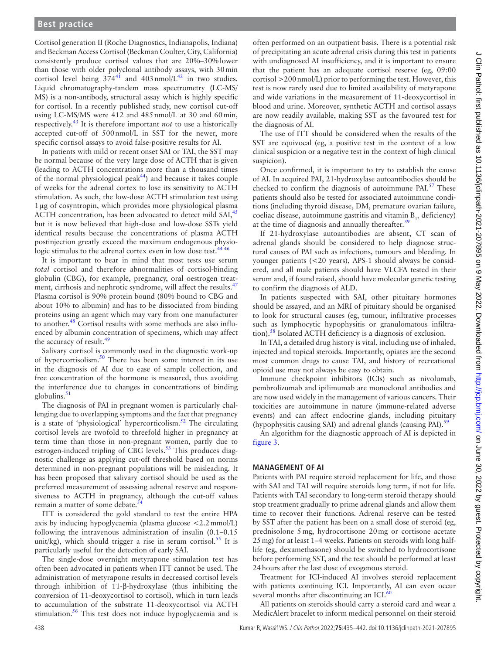Cortisol generation II (Roche Diagnostics, Indianapolis, Indiana) and Beckman Access Cortisol (Beckman Coulter, City, California) consistently produce cortisol values that are 20%–30%lower than those with older polyclonal antibody assays, with 30min cortisol level being  $374^{41}$  and  $403$  nmol/L<sup>42</sup> in two studies. Liquid chromatography-tandem mass spectrometry (LC-MS/ MS) is a non-antibody, structural assay which is highly specific for cortisol. In a recently published study, new cortisol cut-off using LC-MS/MS were 412 and 485nmol/L at 30 and 60min, respectively. [43](#page-6-38) It is therefore important *not* to use a historically accepted cut-off of 500nmol/L in SST for the newer, more specific cortisol assays to avoid false-positive results for AI.

In patients with mild or recent onset SAI or TAI, the SST may be normal because of the very large dose of ACTH that is given (leading to ACTH concentrations more than a thousand times of the normal physiological peak $44$ ) and because it takes couple of weeks for the adrenal cortex to lose its sensitivity to ACTH stimulation. As such, the low-dose ACTH stimulation test using 1µg of cosyntropin, which provides more physiological plasma ACTH concentration, has been advocated to detect mild SAI,<sup>[45](#page-6-40)</sup> but it is now believed that high-dose and low-dose SSTs yield identical results because the concentrations of plasma ACTH postinjection greatly exceed the maximum endogenous physiologic stimulus to the adrenal cortex even in low dose test.<sup>444</sup>

It is important to bear in mind that most tests use serum *total* cortisol and therefore abnormalities of cortisol-binding globulin (CBG), for example, pregnancy, oral oestrogen treat-ment, cirrhosis and nephrotic syndrome, will affect the results.<sup>[47](#page-6-41)</sup> Plasma cortisol is 90% protein bound (80% bound to CBG and about 10% to albumin) and has to be dissociated from binding proteins using an agent which may vary from one manufacturer to another.<sup>[48](#page-6-42)</sup> Cortisol results with some methods are also influenced by albumin concentration of specimens, which may affect the accuracy of result.<sup>[49](#page-6-43)</sup>

Salivary cortisol is commonly used in the diagnostic work-up of hypercortisolism.<sup>[50](#page-6-44)</sup> There has been some interest in its use in the diagnosis of AI due to ease of sample collection, and free concentration of the hormone is measured, thus avoiding the interference due to changes in concentrations of binding globulins.<sup>51</sup>

The diagnosis of PAI in pregnant women is particularly challenging due to overlapping symptoms and the fact that pregnancy is a state of 'physiological' hypercorticolism.<sup>52</sup> The circulating cortisol levels are twofold to threefold higher in pregnancy at term time than those in non-pregnant women, partly due to estrogen-induced tripling of CBG levels.<sup>[53](#page-6-47)</sup> This produces diagnostic challenge as applying cut-off threshold based on norms determined in non-pregnant populations will be misleading. It has been proposed that salivary cortisol should be used as the preferred measurement of assessing adrenal reserve and responsiveness to ACTH in pregnancy, although the cut-off values remain a matter of some debate.

ITT is considered the gold standard to test the entire HPA axis by inducing hypoglycaemia (plasma glucose <2.2mmol/L) following the intravenous administration of insulin (0.1–0.15 unit/kg), which should trigger a rise in serum cortisol.<sup>55</sup> It is particularly useful for the detection of early SAI.

The single-dose overnight metyrapone stimulation test has often been advocated in patients when ITT cannot be used. The administration of metyrapone results in decreased cortisol levels through inhibition of 11-β-hydroxylase (thus inhibiting the conversion of 11-deoxycortisol to cortisol), which in turn leads to accumulation of the substrate 11-deoxycortisol via ACTH stimulation.<sup>[56](#page-6-50)</sup> This test does not induce hypoglycaemia and is

often performed on an outpatient basis. There is a potential risk of precipitating an acute adrenal crisis during this test in patients with undiagnosed AI insufficiency, and it is important to ensure that the patient has an adequate cortisol reserve (eg, 09:00 cortisol >200nmol/L) prior to performing the test. However, this test is now rarely used due to limited availability of metyrapone and wide variations in the measurement of 11-deoxycortisol in blood and urine. Moreover, synthetic ACTH and cortisol assays are now readily available, making SST as the favoured test for the diagnosis of AI.

The use of ITT should be considered when the results of the SST are equivocal (eg, a positive test in the context of a low clinical suspicion or a negative test in the context of high clinical suspicion).

Once confirmed, it is important to try to establish the cause of AI. In acquired PAI, 21-hydroxylase autoantibodies should be checked to confirm the diagnosis of autoimmune PAI.<sup>57</sup> These patients should also be tested for associated autoimmune conditions (including thyroid disease, DM, premature ovarian failure, coeliac disease, autoimmune gastritis and vitamin  $B_{12}$  deficiency) at the time of diagnosis and annually thereafter.<sup>[39](#page-6-34)</sup>

If 21-hydroxylase autoantibodies are absent, CT scan of adrenal glands should be considered to help diagnose structural causes of PAI such as infections, tumours and bleeding. In younger patients (<20 years), APS-1 should always be considered, and all male patients should have VLCFA tested in their serum and, if found raised, should have molecular genetic testing to confirm the diagnosis of ALD.

In patients suspected with SAI, other pituitary hormones should be assayed, and an MRI of pituitary should be organised to look for structural causes (eg, tumour, infiltrative processes such as lymphocytic hypophysitis or granulomatous infiltra-tion).<sup>[58](#page-6-52)</sup> Isolated ACTH deficiency is a diagnosis of exclusion.

In TAI, a detailed drug history is vital, including use of inhaled, injected and topical steroids. Importantly, opiates are the second most common drugs to cause TAI, and history of recreational opioid use may not always be easy to obtain.

Immune checkpoint inhibitors (ICIs) such as nivolumab, pembrolizumab and ipilimumab are monoclonal antibodies and are now used widely in the management of various cancers. Their toxicities are autoimmune in nature (immune-related adverse events) and can affect endocrine glands, including pituitary (hypophysitis causing SAI) and adrenal glands (causing PAI).<sup>[59](#page-6-53)</sup>

An algorithm for the diagnostic approach of AI is depicted in [figure](#page-4-0) 3.

# **MANAGEMENT OF AI**

Patients with PAI require steroid replacement for life, and those with SAI and TAI will require steroids long term, if not for life. Patients with TAI secondary to long-term steroid therapy should stop treatment gradually to prime adrenal glands and allow them time to recover their functions. Adrenal reserve can be tested by SST after the patient has been on a small dose of steroid (eg, prednisolone 5mg, hydrocortisone 20mg or cortisone acetate 25mg) for at least 1–4 weeks. Patients on steroids with long halflife (eg, dexamethasone) should be switched to hydrocortisone before performing SST, and the test should be performed at least 24hours after the last dose of exogenous steroid.

Treatment for ICI-induced AI involves steroid replacement with patients continuing ICI. Importantly, AI can even occur several months after discontinuing an ICI. $60$ 

All patients on steroids should carry a steroid card and wear a MedicAlert bracelet to inform medical personnel on their steroid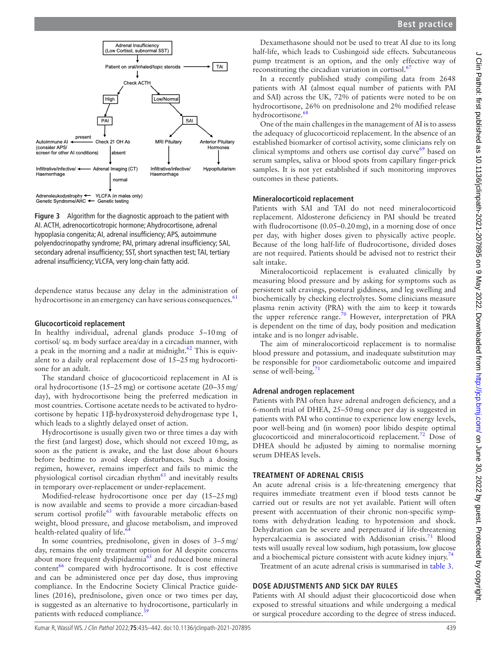

<span id="page-4-0"></span>**Figure 3** Algorithm for the diagnostic approach to the patient with AI. ACTH, adrenocorticotropic hormone; Ahydrocortisone, adrenal hypoplasia congenita; AI, adrenal insufficiency; APS, autoimmune polyendocrinopathy syndrome; PAI, primary adrenal insufficiency; SAI, secondary adrenal insufficiency; SST, short synacthen test; TAI, tertiary adrenal insufficiency; VLCFA, very long-chain fatty acid.

dependence status because any delay in the administration of hydrocortisone in an emergency can have serious consequences.<sup>[61](#page-6-55)</sup>

# **Glucocorticoid replacement**

In healthy individual, adrenal glands produce 5–10mg of cortisol/ sq. m body surface area/day in a circadian manner, with a peak in the morning and a nadir at midnight.<sup>[62](#page-6-56)</sup> This is equivalent to a daily oral replacement dose of 15–25mg hydrocortisone for an adult.

The standard choice of glucocorticoid replacement in AI is oral hydrocortisone (15–25mg) or cortisone acetate (20–35mg/ day), with hydrocortisone being the preferred medication in most countries. Cortisone acetate needs to be activated to hydrocortisone by hepatic 11β-hydroxysteroid dehydrogenase type 1, which leads to a slightly delayed onset of action.

Hydrocortisone is usually given two or three times a day with the first (and largest) dose, which should not exceed 10mg, as soon as the patient is awake, and the last dose about 6hours before bedtime to avoid sleep disturbances. Such a dosing regimen, however, remains imperfect and fails to mimic the physiological cortisol circadian rhythm<sup>63</sup> and inevitably results in temporary over-replacement or under-replacement.

Modified-release hydrocortisone once per day (15–25mg) is now available and seems to provide a more circadian-based serum cortisol profile<sup>63</sup> with favourable metabolic effects on weight, blood pressure, and glucose metabolism, and improved health-related quality of life.<sup>6</sup>

In some countries, prednisolone, given in doses of 3–5mg/ day, remains the only treatment option for AI despite concerns about more frequent dyslipidaemia<sup>[65](#page-6-59)</sup> and reduced bone mineral  $content<sup>66</sup> compared with hydrocortison. It is cost effective$ and can be administered once per day dose, thus improving compliance. In the Endocrine Society Clinical Practice guidelines (2016), prednisolone, given once or two times per day, is suggested as an alternative to hydrocortisone, particularly in patients with reduced compliance.<sup>3</sup>

Dexamethasone should not be used to treat AI due to its long half-life, which leads to Cushingoid side effects. Subcutaneous pump treatment is an option, and the only effective way of reconstituting the circadian variation in cortisol. $\frac{67}{67}$  $\frac{67}{67}$  $\frac{67}{67}$ 

In a recently published study compiling data from 2648 patients with AI (almost equal number of patients with PAI and SAI) across the UK, 72% of patients were noted to be on hydrocortisone, 26% on prednisolone and 2% modified release hydrocortisone.<sup>[68](#page-7-0)</sup>

One of the main challenges in the management of AI is to assess the adequacy of glucocorticoid replacement. In the absence of an established biomarker of cortisol activity, some clinicians rely on clinical symptoms and others use cortisol day curve $69$  based on serum samples, saliva or blood spots from capillary finger-prick samples. It is not yet established if such monitoring improves outcomes in these patients.

# **Mineralocorticoid replacement**

Patients with SAI and TAI do not need mineralocorticoid replacement. Aldosterone deficiency in PAI should be treated with fludrocortisone (0.05–0.20 mg), in a morning dose of once per day, with higher doses given to physically active people. Because of the long half-life of fludrocortisone, divided doses are not required. Patients should be advised not to restrict their salt intake.

Mineralocorticoid replacement is evaluated clinically by measuring blood pressure and by asking for symptoms such as persistent salt cravings, postural giddiness, and leg swelling and biochemically by checking electrolytes. Some clinicians measure plasma renin activity (PRA) with the aim to keep it towards the upper reference range.<sup>[70](#page-7-2)</sup> However, interpretation of PRA is dependent on the time of day, body position and medication intake and is no longer advisable.

The aim of mineralocorticoid replacement is to normalise blood pressure and potassium, and inadequate substitution may be responsible for poor cardiometabolic outcome and impaired sense of well-being. $71$ 

# **Adrenal androgen replacement**

Patients with PAI often have adrenal androgen deficiency, and a 6-month trial of DHEA, 25–50mg once per day is suggested in patients with PAI who continue to experience low energy levels, poor well-being and (in women) poor libido despite optimal glucocorticoid and mineralocorticoid replacement.<sup>72</sup> Dose of DHEA should be adjusted by aiming to normalise morning serum DHEAS levels.

# **TREATMENT OF ADRENAL CRISIS**

An acute adrenal crisis is a life-threatening emergency that requires immediate treatment even if blood tests cannot be carried out or results are not yet available. Patient will often present with accentuation of their chronic non-specific symptoms with dehydration leading to hypotension and shock. Dehydration can be severe and perpetuated if life-threatening hypercalcaemia is associated with Addisonian crisis.<sup>[73](#page-7-5)</sup> Blood tests will usually reveal low sodium, high potassium, low glucose and a biochemical picture consistent with acute kidney injury.<sup>[74](#page-7-6)</sup>

Treatment of an acute adrenal crisis is summarised in [table](#page-5-4) 3.

# **DOSE ADJUSTMENTS AND SICK DAY RULES**

Patients with AI should adjust their glucocorticoid dose when exposed to stressful situations and while undergoing a medical or surgical procedure according to the degree of stress induced.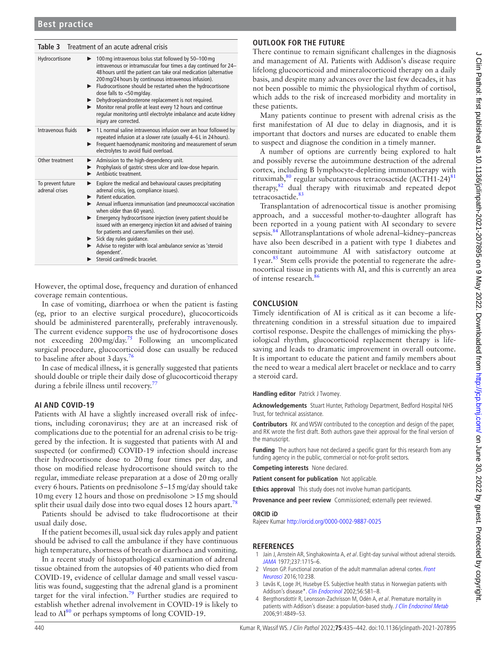# <span id="page-5-4"></span>**Table 3** Treatment of an acute adrenal crisis

| Hydrocortisone                      | $\blacktriangleright$ 100 mg intravenous bolus stat followed by 50-100 mg<br>intravenous or intramuscular four times a day continued for 24-<br>48 hours until the patient can take oral medication (alternative<br>200 mg/24 hours by continuous intravenous infusion).<br>Fludrocortisone should be restarted when the hydrocortisone<br>▶<br>dose falls to $<$ 50 mg/day.<br>Dehydroepiandrosterone replacement is not required.<br>Monitor renal profile at least every 12 hours and continue<br>▶.<br>regular monitoring until electrolyte imbalance and acute kidney<br>injury are corrected. |
|-------------------------------------|-----------------------------------------------------------------------------------------------------------------------------------------------------------------------------------------------------------------------------------------------------------------------------------------------------------------------------------------------------------------------------------------------------------------------------------------------------------------------------------------------------------------------------------------------------------------------------------------------------|
| Intravenous fluids                  | 1 L normal saline intravenous infusion over an hour followed by<br>►<br>repeated infusion at a slower rate (usually 4-6L in 24 hours).<br>Frequent haemodynamic monitoring and measurement of serum<br>▶<br>electrolytes to avoid fluid overload.                                                                                                                                                                                                                                                                                                                                                   |
| Other treatment                     | Admission to the high-dependency unit.<br>Prophylaxis of gastric stress ulcer and low-dose heparin.<br>Antibiotic treatment.                                                                                                                                                                                                                                                                                                                                                                                                                                                                        |
| To prevent future<br>adrenal crises | Explore the medical and behavioural causes precipitating<br>▶<br>adrenal crisis, (eg, compliance issues).<br>$\blacktriangleright$ Patient education.<br>Annual influenza immunisation (and pneumococcal vaccination<br>when older than 60 years).<br>Emergency hydrocortisone injection (every patient should be<br>issued with an emergency injection kit and advised of training<br>for patients and carers/families on their use).<br>Sick day rules guidance.<br>Advise to register with local ambulance service as 'steroid<br>dependent'.<br>Steroid card/medic bracelet.                    |

However, the optimal dose, frequency and duration of enhanced coverage remain contentious.

In case of vomiting, diarrhoea or when the patient is fasting (eg, prior to an elective surgical procedure), glucocorticoids should be administered parenterally, preferably intravenously. The current evidence supports the use of hydrocortisone doses not exceeding 200 mg/day.<sup>75</sup> Following an uncomplicated surgical procedure, glucocorticoid dose can usually be reduced to baseline after about  $3 \text{ days}$ .

In case of medical illness, it is generally suggested that patients should double or triple their daily dose of glucocorticoid therapy during a febrile illness until recovery.<sup>[77](#page-7-9)</sup>

# **AI AND COVID-19**

Patients with AI have a slightly increased overall risk of infections, including coronavirus; they are at an increased risk of complications due to the potential for an adrenal crisis to be triggered by the infection. It is suggested that patients with AI and suspected (or confirmed) COVID-19 infection should increase their hydrocortisone dose to 20mg four times per day, and those on modified release hydrocortisone should switch to the regular, immediate release preparation at a dose of 20mg orally every 6hours. Patients on prednisolone 5–15mg/day should take 10mg every 12 hours and those on prednisolone >15mg should split their usual daily dose into two equal doses 12 hours apart.<sup>76</sup>

Patients should be advised to take fludrocortisone at their usual daily dose.

If the patient becomes ill, usual sick day rules apply and patient should be advised to call the ambulance if they have continuous high temperature, shortness of breath or diarrhoea and vomiting.

In a recent study of histopathological examination of adrenal tissue obtained from the autopsies of 40 patients who died from COVID-19, evidence of cellular damage and small vessel vasculitis was found, suggesting that the adrenal gland is a prominent target for the viral infection.<sup>79</sup> Further studies are required to establish whether adrenal involvement in COVID-19 is likely to lead to  $Al^{80}$  or perhaps symptoms of long COVID-19.

# **OUTLOOK FOR THE FUTURE**

There continue to remain significant challenges in the diagnosis and management of AI. Patients with Addison's disease require lifelong glucocorticoid and mineralocorticoid therapy on a daily basis, and despite many advances over the last few decades, it has not been possible to mimic the physiological rhythm of cortisol, which adds to the risk of increased morbidity and mortality in these patients.

Many patients continue to present with adrenal crisis as the first manifestation of AI due to delay in diagnosis, and it is important that doctors and nurses are educated to enable them to suspect and diagnose the condition in a timely manner.

A number of options are currently being explored to halt and possibly reverse the autoimmune destruction of the adrenal cortex, including B lymphocyte-depleting immunotherapy with rituximab,<sup>80</sup> regular subcutaneous tetracosactide (ACTH1-24)<sup>[81](#page-7-13)</sup> therapy,[82](#page-7-14) dual therapy with rituximab and repeated depot tetracosactide.<sup>83</sup>

Transplantation of adrenocortical tissue is another promising approach, and a successful mother-to-daughter allograft has been reported in a young patient with AI secondary to severe sepsis.<sup>[84](#page-7-16)</sup> Allotransplantations of whole adrenal–kidney–pancreas have also been described in a patient with type 1 diabetes and concomitant autoimmune AI with satisfactory outcome at 1 year.<sup>85</sup> Stem cells provide the potential to regenerate the adrenocortical tissue in patients with AI, and this is currently an area of intense research[.86](#page-7-18)

# **CONCLUSION**

Timely identification of AI is critical as it can become a lifethreatening condition in a stressful situation due to impaired cortisol response. Despite the challenges of mimicking the physiological rhythm, glucocorticoid replacement therapy is lifesaving and leads to dramatic improvement in overall outcome. It is important to educate the patient and family members about the need to wear a medical alert bracelet or necklace and to carry a steroid card.

#### **Handling editor** Patrick J Twomey.

**Acknowledgements** Stuart Hunter, Pathology Department, Bedford Hospital NHS Trust, for technical assistance.

**Contributors** RK and WSW contributed to the conception and design of the paper, and RK wrote the first draft. Both authors gave their approval for the final version of the manuscript.

**Funding** The authors have not declared a specific grant for this research from any funding agency in the public, commercial or not-for-profit sectors.

**Competing interests** None declared.

**Patient consent for publication** Not applicable.

**Ethics approval** This study does not involve human participants.

**Provenance and peer review** Commissioned; externally peer reviewed.

#### **ORCID iD**

Rajeev Kumar<http://orcid.org/0000-0002-9887-0025>

# **REFERENCES**

- <span id="page-5-0"></span>1 Jain J, Arnstein AR, Singhakowinta A, et al. Eight-day survival without adrenal steroids. [JAMA](http://www.ncbi.nlm.nih.gov/pubmed/576674) 1977;237:1715–6.
- <span id="page-5-1"></span>2 Vinson GP. Functional zonation of the adult mammalian adrenal cortex. Front [Neurosci](http://dx.doi.org/10.3389/fnins.2016.00238) 2016;10:238.
- <span id="page-5-2"></span>3 Løvås K, Loge JH, Husebye ES. Subjective health status in Norwegian patients with Addison's disease\*. [Clin Endocrinol](http://dx.doi.org/10.1046/j.1365-2265.2002.01466.x) 2002;56:581–8.
- <span id="page-5-3"></span>4 Bergthorsdottir R, Leonsson-Zachrisson M, Odén A, et al. Premature mortality in patients with Addison's disease: a population-based study. [J Clin Endocrinol Metab](http://dx.doi.org/10.1210/jc.2006-0076) 2006;91:4849–53.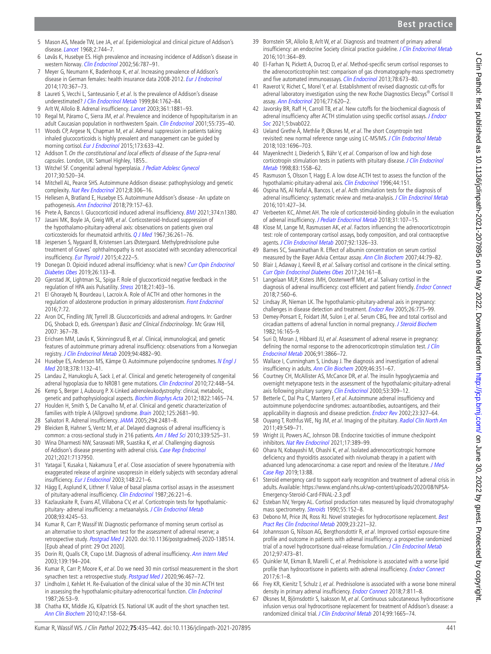- <span id="page-6-0"></span>5 Mason AS, Meade TW, Lee JA, et al. Epidemiological and clinical picture of Addison's disease. [Lancet](http://dx.doi.org/10.1016/s0140-6736(68)90948-3) 1968;2:744–7.
- <span id="page-6-1"></span>6 Løvås K, Husebye ES. High prevalence and increasing incidence of Addison's disease in western Norway. [Clin Endocrinol](http://dx.doi.org/10.1046/j.1365-2265.2002.t01-1-01552.x) 2002;56:787-91.
- <span id="page-6-2"></span>7 Meyer G, Neumann K, Badenhoop K, et al. Increasing prevalence of Addison's disease in German females: health insurance data 2008-2012. [Eur J Endocrinol](http://dx.doi.org/10.1530/EJE-13-0756) 2014;170:367–73.
- <span id="page-6-3"></span>8 Laureti S, Vecchi L, Santeusanio F, et al. Is the prevalence of Addison's disease underestimated? [J Clin Endocrinol Metab](http://dx.doi.org/10.1210/jcem.84.5.5677-7) 1999;84:1762-84.
- <span id="page-6-4"></span>9 Arlt W, Allolio B. Adrenal insufficiency. [Lancet](http://dx.doi.org/10.1016/S0140-6736(03)13492-7) 2003;361:1881-93.
- <span id="page-6-5"></span>10 Regal M, Páramo C, Sierra JM, et al. Prevalence and incidence of hypopituitarism in an adult Caucasian population in northwestern Spain. [Clin Endocrinol](http://dx.doi.org/10.1046/j.1365-2265.2001.01406.x) 2001;55:735-40.
- <span id="page-6-6"></span>11 Woods CP, Argese N, Chapman M, et al. Adrenal suppression in patients taking inhaled glucocorticoids is highly prevalent and management can be guided by morning cortisol. [Eur J Endocrinol](http://dx.doi.org/10.1530/EJE-15-0608) 2015;173:633-42.
- <span id="page-6-7"></span>12 Addison T. On the constitutional and local effects of disease of the Supra-renal capsules. London, UK: Samuel Highley, 1855..
- <span id="page-6-8"></span>13 Witchel SF. Congenital adrenal hyperplasia. [J Pediatr Adolesc Gynecol](http://dx.doi.org/10.1016/j.jpag.2017.04.001) 2017;30:520–34.
- <span id="page-6-9"></span>14 Mitchell AL, Pearce SHS. Autoimmune Addison disease: pathophysiology and genetic complexity. [Nat Rev Endocrinol](http://dx.doi.org/10.1038/nrendo.2011.245) 2012;8:306-16.
- <span id="page-6-10"></span>15 Hellesen A, Bratland E, Husebye ES. Autoimmune Addison's disease - An update on pathogenesis. [Ann Endocrinol](http://dx.doi.org/10.1016/j.ando.2018.03.008) 2018;79:157–63.
- <span id="page-6-12"></span><span id="page-6-11"></span>16 Prete A, Bancos I. Glucocorticoid induced adrenal insufficiency. [BMJ](http://dx.doi.org/10.1136/bmj.n1380) 2021;374:n1380. 17 Jasani MK, Boyle JA, Greig WR, et al. Corticosteroid-Induced suppression of the hypothalamo-pituitary-adrenal axis: observations on patients given oral corticosteroids for rheumatoid arthritis. [Q J Med](http://www.ncbi.nlm.nih.gov/pubmed/6049762) 1967;36:261–76.
- <span id="page-6-13"></span>18 Jespersen S, Nygaard B, Kristensen Lars Østergaard. Methylprednisolone pulse treatment of Graves' ophthalmopathy is not associated with secondary adrenocortical insufficiency. [Eur Thyroid J](http://dx.doi.org/10.1159/000440834) 2015;4:222-5.
- <span id="page-6-14"></span>19 Donegan D. Opioid induced adrenal insufficiency: what is new? Curr Opin Endocrinol [Diabetes Obes](http://dx.doi.org/10.1097/MED.0000000000000474) 2019;26:133–8.
- <span id="page-6-15"></span>20 Gjerstad JK, Lightman SL, Spiga F. Role of glucocorticoid negative feedback in the regulation of HPA axis Pulsatility. [Stress](http://dx.doi.org/10.1080/10253890.2018.1470238) 2018;21:403–16.
- <span id="page-6-16"></span>21 El Ghorayeb N, Bourdeau I, Lacroix A. Role of ACTH and other hormones in the regulation of aldosterone production in primary aldosteronism. [Front Endocrinol](http://dx.doi.org/10.3389/fendo.2016.00072) 2016;7:72.
- <span id="page-6-17"></span>22 Aron DC, Findling JW, Tyrrell JB. Glucocorticoids and adrenal androgens. In: Gardner DG, Shoback D, eds. Greenspan's Basic and Clinical Endocrinology. Mc Graw Hill, 2007: 367–78.
- <span id="page-6-18"></span>23 Erichsen MM, Løvås K, Skinningsrud B, et al. Clinical, immunological, and genetic features of autoimmune primary adrenal insufficiency: observations from a Norwegian registry. [J Clin Endocrinol Metab](http://dx.doi.org/10.1210/jc.2009-1368) 2009;94:4882–90.
- <span id="page-6-19"></span>24 Husebye ES, Anderson MS, Kämpe O. Autoimmune polyendocrine syndromes. N Engl J [Med](http://dx.doi.org/10.1056/NEJMra1713301) 2018;378:1132–41.
- <span id="page-6-20"></span>25 Landau Z, Hanukoglu A, Sack J, et al. Clinical and genetic heterogeneity of congenital adrenal hypoplasia due to NR0B1 gene mutations. [Clin Endocrinol](http://dx.doi.org/10.1111/j.1365-2265.2009.03652.x) 2010;72:448-54.
- <span id="page-6-21"></span>26 Kemp S, Berger J, Aubourg P. X-Linked adrenoleukodystrophy: clinical, metabolic, genetic and pathophysiological aspects. [Biochim Biophys Acta](http://dx.doi.org/10.1016/j.bbadis.2012.03.012) 2012;1822:1465-74.
- <span id="page-6-22"></span>27 Houlden H, Smith S, De Carvalho M, et al. Clinical and genetic characterization of families with triple A (Allgrove) syndrome. [Brain](http://dx.doi.org/10.1093/brain/awf270) 2002;125:2681-90.
- <span id="page-6-23"></span>28 Salvatori R. Adrenal insufficiency. [JAMA](http://dx.doi.org/10.1001/jama.294.19.2481) 2005;294:2481–8.
- <span id="page-6-24"></span>29 Bleicken B, Hahner S, Ventz M, et al. Delayed diagnosis of adrenal insufficiency is common: a cross-sectional study in 216 patients. [Am J Med Sci](http://dx.doi.org/10.1097/MAJ.0b013e3181db6b7a) 2010;339:525-31.
- <span id="page-6-25"></span>30 Wina Dharmesti NW, Saraswati MR, Suastika K, et al. Challenging diagnosis of Addison's disease presenting with adrenal crisis. [Case Rep Endocrinol](http://dx.doi.org/10.1155/2021/7137950) 2021;2021:7137950.
- <span id="page-6-26"></span>31 Yatagai T, Kusaka I, Nakamura T, et al. Close association of severe hyponatremia with exaggerated release of arginine vasopressin in elderly subjects with secondary adrenal insufficiency. [Eur J Endocrinol](http://dx.doi.org/10.1530/eje.0.1480221) 2003;148:221-6.
- <span id="page-6-27"></span>32 Hägg E, Asplund K, Lithner F. Value of basal plasma cortisol assays in the assessment of pituitary-adrenal insufficiency. [Clin Endocrinol](http://dx.doi.org/10.1111/j.1365-2265.1987.tb00780.x) 1987;26:221-6.
- <span id="page-6-28"></span>33 Kazlauskaite R, Evans AT, Villabona CV, et al. Corticotropin tests for hypothalamic-pituitary- adrenal insufficiency: a metaanalysis. [J Clin Endocrinol Metab](http://dx.doi.org/10.1210/jc.2008-0710) 2008;93:4245–53.
- <span id="page-6-29"></span>34 Kumar R, Carr P, Wassif W. Diagnostic performance of morning serum cortisol as an alternative to short synacthen test for the assessment of adrenal reserve; a retrospective study. [Postgrad Med J](http://dx.doi.org/10.1136/postgradmedj-2020-138514) 2020. doi:10.1136/postgradmedj-2020-138514. [Epub ahead of print: 29 Oct 2020].
- <span id="page-6-30"></span>35 Dorin RI, Qualls CR, Crapo LM. Diagnosis of adrenal insufficiency. [Ann Intern Med](http://dx.doi.org/10.7326/0003-4819-139-3-200308050-00009) 2003;139:194–204.
- <span id="page-6-31"></span>36 Kumar R, Carr P, Moore K, et al. Do we need 30 min cortisol measurement in the short synacthen test: a retrospective study. [Postgrad Med J](http://dx.doi.org/10.1136/postgradmedj-2019-137125) 2020;96:467-72.
- <span id="page-6-32"></span>37 Lindholm J, Kehlet H. Re-Evaluation of the clinical value of the 30 min ACTH test in assessing the hypothalamic-pituitary-adrenocortical function. [Clin Endocrinol](http://dx.doi.org/10.1111/j.1365-2265.1987.tb03638.x) 1987;26:53–9.
- <span id="page-6-33"></span>38 Chatha KK, Middle JG, Kilpatrick ES. National UK audit of the short synacthen test. [Ann Clin Biochem](http://dx.doi.org/10.1258/acb.2009.009209) 2010;47:158–64.
- <span id="page-6-34"></span>39 Bornstein SR, Allolio B, Arlt W, et al. Diagnosis and treatment of primary adrenal insufficiency: an endocrine Society clinical practice quideline. [J Clin Endocrinol Metab](http://dx.doi.org/10.1210/jc.2015-1710) 2016;101:364–89.
- <span id="page-6-35"></span>40 El-Farhan N, Pickett A, Ducroq D, et al. Method-specific serum cortisol responses to the adrenocorticotrophin test: comparison of gas chromatography-mass spectrometry and five automated immunoassays. [Clin Endocrinol](http://dx.doi.org/10.1111/cen.12039) 2013:78:673-80.
- <span id="page-6-36"></span>41 Raverot V, Richet C, Morel Y, et al. Establishment of revised diagnostic cut-offs for adrenal laboratory investigation using the new Roche Diagnostics Elecsys® Cortisol II assay. [Ann Endocrinol](http://dx.doi.org/10.1016/j.ando.2016.05.002) 2016;77:620–2.
- <span id="page-6-37"></span>42 Javorsky BR, Raff H, Carroll TB, et al. New cutoffs for the biochemical diagnosis of adrenal insufficiency after ACTH stimulation using specific cortisol assays. J Endocr [Soc](http://dx.doi.org/10.1210/jendso/bvab022) 2021;5:bvab022.
- <span id="page-6-38"></span>43 Ueland Grethe Å, Methlie P, Øksnes M, et al. The short Cosyntropin test revisited: new normal reference range using LC-MS/MS. [J Clin Endocrinol Metab](http://dx.doi.org/10.1210/jc.2017-02602) 2018;103:1696–703.
- <span id="page-6-39"></span>44 Mayenknecht J, Diederich S, Bähr V, et al. Comparison of low and high dose corticotropin stimulation tests in patients with pituitary disease. J Clin Endocrinol [Metab](http://dx.doi.org/10.1210/jcem.83.5.4831) 1998;83:1558–62.
- <span id="page-6-40"></span>45 Rasmuson S, Olsson T, Hagg E. A low dose ACTH test to assess the function of the hypothalamic-pituitary-adrenal axis. [Clin Endocrinol](http://dx.doi.org/10.1046/j.1365-2265.1996.600482.x) 1996;44:151.
- 46 Ospina NS, Al Nofal A, Bancos I, et al. Acth stimulation tests for the diagnosis of adrenal insufficiency: systematic review and meta-analysis. [J Clin Endocrinol Metab](http://dx.doi.org/10.1210/jc.2015-1700) 2016;101:427–34.
- <span id="page-6-41"></span>47 Verbeeten KC, Ahmet AH. The role of corticosteroid-binding globulin in the evaluation of adrenal insufficiency. [J Pediatr Endocrinol Metab](http://dx.doi.org/10.1515/jpem-2017-0270) 2018;31:107-15.
- <span id="page-6-42"></span>48 Klose M, Lange M, Rasmussen AK, et al. Factors influencing the adrenocorticotropin test: role of contemporary cortisol assays, body composition, and oral contraceptive agents. [J Clin Endocrinol Metab](http://dx.doi.org/10.1210/jc.2006-1791) 2007;92:1326–33.
- <span id="page-6-43"></span>49 Barnes SC, Swaminathan R. Effect of albumin concentration on serum cortisol measured by the Bayer Advia Centaur assay. [Ann Clin Biochem](http://dx.doi.org/10.1258/000456307779595968) 2007;44:79–82.
- <span id="page-6-44"></span>50 Blair J, Adaway J, Keevil B, et al. Salivary cortisol and cortisone in the clinical setting. [Curr Opin Endocrinol Diabetes Obes](http://dx.doi.org/10.1097/MED.0000000000000328) 2017;24:161–8.
- <span id="page-6-45"></span>51 Langelaan MLP, Kisters JMH, Oosterwerff MM, et al. Salivary cortisol in the diagnosis of adrenal insufficiency: cost efficient and patient friendly. [Endocr Connect](http://dx.doi.org/10.1530/EC-18-0085) 2018;7:560–6.
- <span id="page-6-46"></span>52 Lindsay JR, Nieman LK. The hypothalamic-pituitary-adrenal axis in pregnancy: challenges in disease detection and treatment. *[Endocr Rev](http://dx.doi.org/10.1210/er.2004-0025)* 2005;26:775–99.
- <span id="page-6-47"></span>53 Demey-Ponsart E, Foidart JM, Sulon J, et al. Serum CBG, free and total cortisol and circadian patterns of adrenal function in normal pregnancy. [J Steroid Biochem](http://dx.doi.org/10.1016/0022-4731(82)90163-7) 1982;16:165–9.
- <span id="page-6-48"></span>54 Suri D, Moran J, Hibbard JU, et al. Assessment of adrenal reserve in pregnancy: defining the normal response to the adrenocorticotropin stimulation test. J Clin [Endocrinol Metab](http://dx.doi.org/10.1210/jc.2006-1049) 2006;91:3866–72.
- <span id="page-6-49"></span>55 Wallace I, Cunningham S, Lindsay J. The diagnosis and investigation of adrenal insufficiency in adults. [Ann Clin Biochem](http://dx.doi.org/10.1258/acb.2009.009101) 2009;46:351–67.
- <span id="page-6-50"></span>56 Courtney CH, McAllister AS, McCance DR, et al. The insulin hypoglycaemia and overnight metyrapone tests in the assessment of the hypothalamic-pituitary-adrenal axis following pituitary surgery. [Clin Endocrinol](http://dx.doi.org/10.1046/j.1365-2265.2000.01093.x) 2000;53:309-12.
- <span id="page-6-51"></span>57 Betterle C, Dal Pra C, Mantero F, et al. Autoimmune adrenal insufficiency and autoimmune polyendocrine syndromes: autoantibodies, autoantigens, and their applicability in diagnosis and disease prediction. [Endocr Rev](http://dx.doi.org/10.1210/edrv.23.3.0466) 2002;23:327-64.
- <span id="page-6-52"></span>58 Ouyang T, Rothfus WE, Ng JM, et al. Imaging of the pituitary. [Radiol Clin North Am](http://dx.doi.org/10.1016/j.rcl.2011.02.012) 2011;49:549–71.
- <span id="page-6-53"></span>59 Wright JJ, Powers AC, Johnson DB. Endocrine toxicities of immune checkpoint inhibitors. [Nat Rev Endocrinol](http://dx.doi.org/10.1038/s41574-021-00484-3) 2021;17:389-99.
- <span id="page-6-54"></span>60 Ohara N, Kobayashi M, Ohashi K, et al. Isolated adrenocorticotropic hormone deficiency and thyroiditis associated with nivolumab therapy in a patient with advanced lung adenocarcinoma: a case report and review of the literature. *J Med* [Case Rep](http://dx.doi.org/10.1186/s13256-019-2002-2) 2019;13:88.
- <span id="page-6-55"></span>61 Steroid emergency card to support early recognition and treatment of adrenal crisis in adults. Available: [https://www.england.nhs.uk/wp-content/uploads/2020/08/NPSA-](https://www.england.nhs.uk/wp-content/uploads/2020/08/NPSA-Emergency-Steroid-Card-FINAL-2.3.pdf)[Emergency-Steroid-Card-FINAL-2.3.pdf](https://www.england.nhs.uk/wp-content/uploads/2020/08/NPSA-Emergency-Steroid-Card-FINAL-2.3.pdf)
- <span id="page-6-56"></span>62 Esteban NV, Yergey AL. Cortisol production rates measured by liquid chromatography/ mass spectrometry. [Steroids](http://dx.doi.org/10.1016/0039-128X(90)90103-I) 1990;55:152-8.
- <span id="page-6-57"></span>63 Debono M, Price JN, Ross RJ. Novel strategies for hydrocortisone replacement. Best [Pract Res Clin Endocrinol Metab](http://dx.doi.org/10.1016/j.beem.2008.09.010) 2009;23:221–32.
- <span id="page-6-58"></span>64 Johannsson G, Nilsson AG, Bergthorsdottir R, et al. Improved cortisol exposure-time profile and outcome in patients with adrenal insufficiency: a prospective randomized trial of a novel hydrocortisone dual-release formulation. [J Clin Endocrinol Metab](http://dx.doi.org/10.1210/jc.2011-1926) 2012;97:473–81.
- <span id="page-6-59"></span>65 Quinkler M, Ekman B, Marelli C, et al. Prednisolone is associated with a worse lipid profile than hydrocortisone in patients with adrenal insufficiency. [Endocr Connect](http://dx.doi.org/10.1530/EC-16-0081) 2017;6:1–8.
- <span id="page-6-60"></span>66 Frey KR, Kienitz T, Schulz J, et al. Prednisolone is associated with a worse bone mineral density in primary adrenal insufficiency. [Endocr Connect](http://dx.doi.org/10.1530/EC-18-0160) 2018;7:811-8.
- <span id="page-6-61"></span>67 Øksnes M, Björnsdottir S, Isaksson M, et al. Continuous subcutaneous hydrocortisone infusion versus oral hydrocortisone replacement for treatment of Addison's disease: a randomized clinical trial. [J Clin Endocrinol Metab](http://dx.doi.org/10.1210/jc.2013-4253) 2014;99:1665-74.